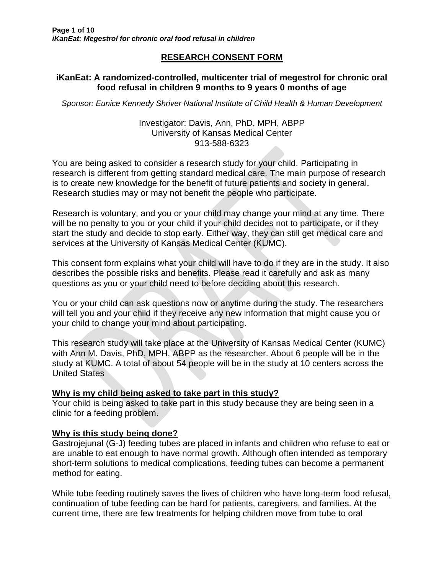# **RESEARCH CONSENT FORM**

## **iKanEat: A randomized-controlled, multicenter trial of megestrol for chronic oral food refusal in children 9 months to 9 years 0 months of age**

*Sponsor: Eunice Kennedy Shriver National Institute of Child Health & Human Development*

### Investigator: Davis, Ann, PhD, MPH, ABPP University of Kansas Medical Center 913-588-6323

You are being asked to consider a research study for your child. Participating in research is different from getting standard medical care. The main purpose of research is to create new knowledge for the benefit of future patients and society in general. Research studies may or may not benefit the people who participate.

Research is voluntary, and you or your child may change your mind at any time. There will be no penalty to you or your child if your child decides not to participate, or if they start the study and decide to stop early. Either way, they can still get medical care and services at the University of Kansas Medical Center (KUMC).

This consent form explains what your child will have to do if they are in the study. It also describes the possible risks and benefits. Please read it carefully and ask as many questions as you or your child need to before deciding about this research.

You or your child can ask questions now or anytime during the study. The researchers will tell you and your child if they receive any new information that might cause you or your child to change your mind about participating.

This research study will take place at the University of Kansas Medical Center (KUMC) with Ann M. Davis, PhD, MPH, ABPP as the researcher. About 6 people will be in the study at KUMC. A total of about 54 people will be in the study at 10 centers across the United States

## **Why is my child being asked to take part in this study?**

Your child is being asked to take part in this study because they are being seen in a clinic for a feeding problem.

## **Why is this study being done?**

Gastrojejunal (G-J) feeding tubes are placed in infants and children who refuse to eat or are unable to eat enough to have normal growth. Although often intended as temporary short-term solutions to medical complications, feeding tubes can become a permanent method for eating.

While tube feeding routinely saves the lives of children who have long-term food refusal, continuation of tube feeding can be hard for patients, caregivers, and families. At the current time, there are few treatments for helping children move from tube to oral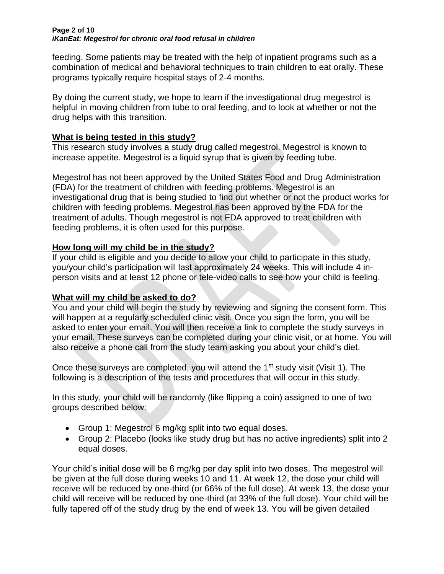#### **Page 2 of 10** *iKanEat: Megestrol for chronic oral food refusal in children*

feeding. Some patients may be treated with the help of inpatient programs such as a combination of medical and behavioral techniques to train children to eat orally. These programs typically require hospital stays of 2-4 months.

By doing the current study, we hope to learn if the investigational drug megestrol is helpful in moving children from tube to oral feeding, and to look at whether or not the drug helps with this transition.

## **What is being tested in this study?**

This research study involves a study drug called megestrol. Megestrol is known to increase appetite. Megestrol is a liquid syrup that is given by feeding tube.

Megestrol has not been approved by the United States Food and Drug Administration (FDA) for the treatment of children with feeding problems. Megestrol is an investigational drug that is being studied to find out whether or not the product works for children with feeding problems. Megestrol has been approved by the FDA for the treatment of adults. Though megestrol is not FDA approved to treat children with feeding problems, it is often used for this purpose.

# **How long will my child be in the study?**

If your child is eligible and you decide to allow your child to participate in this study, you/your child's participation will last approximately 24 weeks. This will include 4 inperson visits and at least 12 phone or tele-video calls to see how your child is feeling.

# **What will my child be asked to do?**

You and your child will begin the study by reviewing and signing the consent form. This will happen at a regularly scheduled clinic visit. Once you sign the form, you will be asked to enter your email. You will then receive a link to complete the study surveys in your email. These surveys can be completed during your clinic visit, or at home. You will also receive a phone call from the study team asking you about your child's diet.

Once these surveys are completed, you will attend the 1<sup>st</sup> study visit (Visit 1). The following is a description of the tests and procedures that will occur in this study.

In this study, your child will be randomly (like flipping a coin) assigned to one of two groups described below:

- Group 1: Megestrol 6 mg/kg split into two equal doses.
- Group 2: Placebo (looks like study drug but has no active ingredients) split into 2 equal doses.

Your child's initial dose will be 6 mg/kg per day split into two doses. The megestrol will be given at the full dose during weeks 10 and 11. At week 12, the dose your child will receive will be reduced by one-third (or 66% of the full dose). At week 13, the dose your child will receive will be reduced by one-third (at 33% of the full dose). Your child will be fully tapered off of the study drug by the end of week 13. You will be given detailed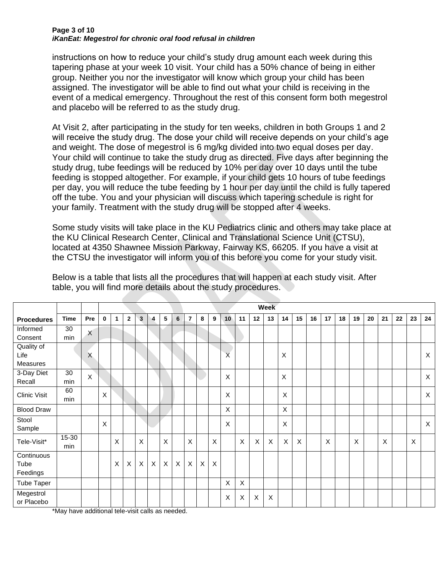#### **Page 3 of 10** *iKanEat: Megestrol for chronic oral food refusal in children*

instructions on how to reduce your child's study drug amount each week during this tapering phase at your week 10 visit. Your child has a 50% chance of being in either group. Neither you nor the investigator will know which group your child has been assigned. The investigator will be able to find out what your child is receiving in the event of a medical emergency. Throughout the rest of this consent form both megestrol and placebo will be referred to as the study drug.

At Visit 2, after participating in the study for ten weeks, children in both Groups 1 and 2 will receive the study drug. The dose your child will receive depends on your child's age and weight. The dose of megestrol is 6 mg/kg divided into two equal doses per day. Your child will continue to take the study drug as directed. Five days after beginning the study drug, tube feedings will be reduced by 10% per day over 10 days until the tube feeding is stopped altogether. For example, if your child gets 10 hours of tube feedings per day, you will reduce the tube feeding by 1 hour per day until the child is fully tapered off the tube. You and your physician will discuss which tapering schedule is right for your family. Treatment with the study drug will be stopped after 4 weeks.

Some study visits will take place in the KU Pediatrics clinic and others may take place at the KU Clinical Research Center, Clinical and Translational Science Unit (CTSU), located at 4350 Shawnee Mission Parkway, Fairway KS, 66205. If you have a visit at the CTSU the investigator will inform you of this before you come for your study visit.

|                   |             |          | <b>Week</b> |   |                |              |              |             |             |                |              |          |                         |          |                           |                           |                           |          |    |    |    |    |    |    |    |    |              |
|-------------------|-------------|----------|-------------|---|----------------|--------------|--------------|-------------|-------------|----------------|--------------|----------|-------------------------|----------|---------------------------|---------------------------|---------------------------|----------|----|----|----|----|----|----|----|----|--------------|
| <b>Procedures</b> | <b>Time</b> | Pre      | $\bf{0}$    | 1 | $\overline{2}$ | $\mathbf{3}$ | 4            | 5           | 6           | $\overline{7}$ | 8            | 9        | 10 <sup>°</sup>         | 11       | 12                        | 13                        | 14                        | 15       | 16 | 17 | 18 | 19 | 20 | 21 | 22 | 23 | 24           |
| Informed          | 30          | $\times$ |             |   |                |              |              |             |             |                |              |          |                         |          |                           |                           |                           |          |    |    |    |    |    |    |    |    |              |
| Consent           | min         |          |             |   |                |              |              |             |             |                |              |          |                         |          |                           |                           |                           |          |    |    |    |    |    |    |    |    |              |
| Quality of        |             |          |             |   |                |              |              |             |             |                |              |          |                         |          |                           |                           |                           |          |    |    |    |    |    |    |    |    |              |
| Life              |             | X        |             |   |                |              |              |             |             |                |              |          | $\overline{\mathsf{X}}$ |          |                           |                           | $\sf X$                   |          |    |    |    |    |    |    |    |    | X            |
| Measures          |             |          |             |   |                |              |              |             |             |                |              |          |                         |          |                           |                           |                           |          |    |    |    |    |    |    |    |    |              |
| 3-Day Diet        | 30          | $\times$ |             |   |                |              |              |             |             |                |              |          | $\mathsf X$             |          |                           |                           | X                         |          |    |    |    |    |    |    |    |    | $\mathsf{X}$ |
| Recall            | min         |          |             |   |                |              |              |             |             |                |              |          |                         |          |                           |                           |                           |          |    |    |    |    |    |    |    |    |              |
| Clinic Visit      | 60          |          | $\mathsf X$ |   |                |              |              |             |             |                |              |          | $\pmb{\times}$          |          |                           |                           | $\pmb{\times}$            |          |    |    |    |    |    |    |    |    | X            |
|                   | min         |          |             |   |                |              |              |             |             |                |              |          |                         |          |                           |                           |                           |          |    |    |    |    |    |    |    |    |              |
| <b>Blood Draw</b> |             |          |             |   |                |              |              |             |             |                |              |          | $\pmb{\times}$          |          |                           |                           | $\times$                  |          |    |    |    |    |    |    |    |    |              |
| Stool             |             |          | $\sf X$     |   |                |              |              |             |             |                |              |          | $\pmb{\times}$          |          |                           |                           | $\times$                  |          |    |    |    |    |    |    |    |    | $\mathsf{X}$ |
| Sample            |             |          |             |   |                |              | a ka         |             |             |                |              |          |                         |          |                           |                           |                           |          |    |    |    |    |    |    |    |    |              |
| Tele-Visit*       | 15-30       |          |             | X |                | X            |              | X           |             | $\times$       |              | X        |                         | X        | $\boldsymbol{\mathsf{X}}$ | $\boldsymbol{\mathsf{X}}$ | $\boldsymbol{\mathsf{X}}$ | $\times$ |    | X  |    | X  |    | X  |    | X  |              |
|                   | min         |          |             |   |                |              |              |             |             |                |              |          |                         |          |                           |                           |                           |          |    |    |    |    |    |    |    |    |              |
| Continuous        |             |          |             |   |                |              |              |             |             |                |              |          |                         |          |                           |                           |                           |          |    |    |    |    |    |    |    |    |              |
| Tube              |             |          |             | X | $\mathsf X$    | $\mathsf{X}$ | $\mathsf{X}$ | $\mathsf X$ | $\mathsf X$ | $\mathsf{X}$   | $\mathsf{X}$ | $\times$ |                         |          |                           |                           |                           |          |    |    |    |    |    |    |    |    |              |
| Feedings          |             |          |             |   |                |              |              |             |             |                |              |          |                         |          |                           |                           |                           |          |    |    |    |    |    |    |    |    |              |
| Tube Taper        |             |          |             |   |                |              |              |             |             |                |              |          | $\pmb{\times}$          | $\times$ |                           |                           |                           |          |    |    |    |    |    |    |    |    |              |
| Megestrol         |             |          |             |   |                |              |              |             |             |                |              |          | $\mathsf X$             | X        | $\boldsymbol{\mathsf{X}}$ | $\times$                  |                           |          |    |    |    |    |    |    |    |    |              |
| or Placebo        |             |          |             |   |                |              |              |             |             |                |              |          |                         |          |                           |                           |                           |          |    |    |    |    |    |    |    |    |              |

Below is a table that lists all the procedures that will happen at each study visit. After table, you will find more details about the study procedures.

\*May have additional tele-visit calls as needed.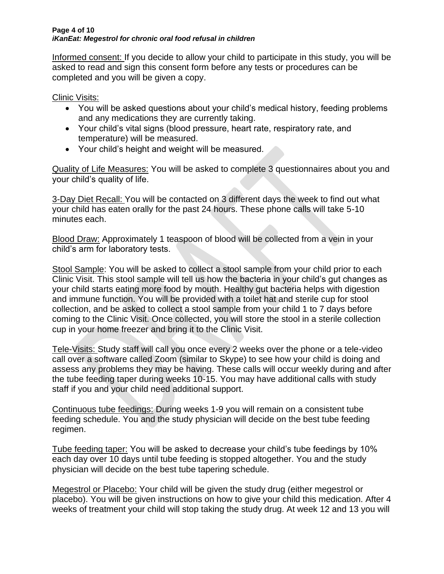#### **Page 4 of 10** *iKanEat: Megestrol for chronic oral food refusal in children*

Informed consent: If you decide to allow your child to participate in this study, you will be asked to read and sign this consent form before any tests or procedures can be completed and you will be given a copy.

Clinic Visits:

- You will be asked questions about your child's medical history, feeding problems and any medications they are currently taking.
- Your child's vital signs (blood pressure, heart rate, respiratory rate, and temperature) will be measured.
- Your child's height and weight will be measured.

Quality of Life Measures: You will be asked to complete 3 questionnaires about you and your child's quality of life.

3-Day Diet Recall: You will be contacted on 3 different days the week to find out what your child has eaten orally for the past 24 hours. These phone calls will take 5-10 minutes each.

Blood Draw: Approximately 1 teaspoon of blood will be collected from a vein in your child's arm for laboratory tests.

Stool Sample: You will be asked to collect a stool sample from your child prior to each Clinic Visit. This stool sample will tell us how the bacteria in your child's gut changes as your child starts eating more food by mouth. Healthy gut bacteria helps with digestion and immune function. You will be provided with a toilet hat and sterile cup for stool collection, and be asked to collect a stool sample from your child 1 to 7 days before coming to the Clinic Visit. Once collected, you will store the stool in a sterile collection cup in your home freezer and bring it to the Clinic Visit.

Tele-Visits: Study staff will call you once every 2 weeks over the phone or a tele-video call over a software called Zoom (similar to Skype) to see how your child is doing and assess any problems they may be having. These calls will occur weekly during and after the tube feeding taper during weeks 10-15. You may have additional calls with study staff if you and your child need additional support.

Continuous tube feedings: During weeks 1-9 you will remain on a consistent tube feeding schedule. You and the study physician will decide on the best tube feeding regimen.

Tube feeding taper: You will be asked to decrease your child's tube feedings by 10% each day over 10 days until tube feeding is stopped altogether. You and the study physician will decide on the best tube tapering schedule.

Megestrol or Placebo: Your child will be given the study drug (either megestrol or placebo). You will be given instructions on how to give your child this medication. After 4 weeks of treatment your child will stop taking the study drug. At week 12 and 13 you will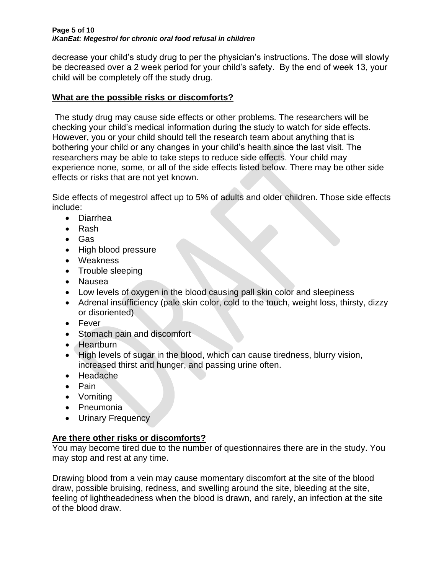#### **Page 5 of 10** *iKanEat: Megestrol for chronic oral food refusal in children*

decrease your child's study drug to per the physician's instructions. The dose will slowly be decreased over a 2 week period for your child's safety. By the end of week 13, your child will be completely off the study drug.

# **What are the possible risks or discomforts?**

The study drug may cause side effects or other problems. The researchers will be checking your child's medical information during the study to watch for side effects. However, you or your child should tell the research team about anything that is bothering your child or any changes in your child's health since the last visit. The researchers may be able to take steps to reduce side effects. Your child may experience none, some, or all of the side effects listed below. There may be other side effects or risks that are not yet known.

Side effects of megestrol affect up to 5% of adults and older children. Those side effects include:

- Diarrhea
- Rash
- Gas
- High blood pressure
- Weakness
- Trouble sleeping
- Nausea
- Low levels of oxygen in the blood causing pall skin color and sleepiness
- Adrenal insufficiency (pale skin color, cold to the touch, weight loss, thirsty, dizzy or disoriented)
- Fever
- [Stomach](http://en.wiktionary.org/wiki/stomach) pain and discomfort
- [Heartburn](http://en.wiktionary.org/wiki/heartburn)
- High levels of sugar in the blood, which can cause tiredness, blurry vision, increased thirst and hunger, and passing urine often.
- Headache
- Pain
- Vomiting
- Pneumonia
- Urinary Frequency

# **Are there other risks or discomforts?**

You may become tired due to the number of questionnaires there are in the study. You may stop and rest at any time.

Drawing blood from a vein may cause momentary discomfort at the site of the blood draw, possible bruising, redness, and swelling around the site, bleeding at the site, feeling of lightheadedness when the blood is drawn, and rarely, an infection at the site of the blood draw.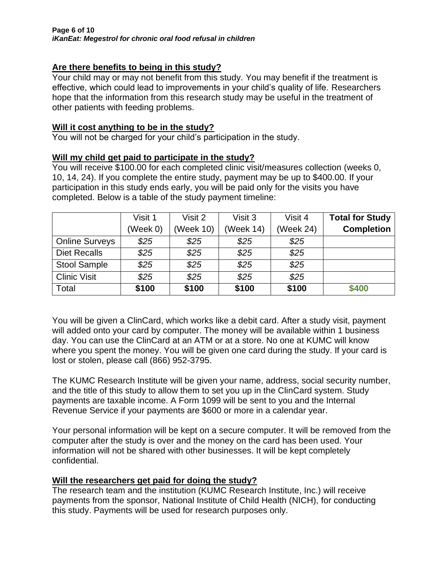# **Are there benefits to being in this study?**

Your child may or may not benefit from this study. You may benefit if the treatment is effective, which could lead to improvements in your child's quality of life. Researchers hope that the information from this research study may be useful in the treatment of other patients with feeding problems.

### **Will it cost anything to be in the study?**

You will not be charged for your child's participation in the study.

### **Will my child get paid to participate in the study?**

You will receive \$100.00 for each completed clinic visit/measures collection (weeks 0, 10, 14, 24). If you complete the entire study, payment may be up to \$400.00. If your participation in this study ends early, you will be paid only for the visits you have completed. Below is a table of the study payment timeline:

|                       | Visit 1  | Visit 2   | Visit 3   | Visit 4   | <b>Total for Study</b> |
|-----------------------|----------|-----------|-----------|-----------|------------------------|
|                       | (Week 0) | (Week 10) | (Week 14) | (Week 24) | <b>Completion</b>      |
| <b>Online Surveys</b> | \$25     | \$25      | \$25      | \$25      |                        |
| <b>Diet Recalls</b>   | \$25     | \$25      | \$25      | \$25      |                        |
| <b>Stool Sample</b>   | \$25     | \$25      | \$25      | \$25      |                        |
| <b>Clinic Visit</b>   | \$25     | \$25      | \$25      | \$25      |                        |
| Total                 | \$100    | \$100     | \$100     | \$100     | \$400                  |

You will be given a ClinCard, which works like a debit card. After a study visit, payment will added onto your card by computer. The money will be available within 1 business day. You can use the ClinCard at an ATM or at a store. No one at KUMC will know where you spent the money. You will be given one card during the study. If your card is lost or stolen, please call (866) 952-3795.

The KUMC Research Institute will be given your name, address, social security number, and the title of this study to allow them to set you up in the ClinCard system. Study payments are taxable income. A Form 1099 will be sent to you and the Internal Revenue Service if your payments are \$600 or more in a calendar year.

Your personal information will be kept on a secure computer. It will be removed from the computer after the study is over and the money on the card has been used. Your information will not be shared with other businesses. It will be kept completely confidential.

## **Will the researchers get paid for doing the study?**

The research team and the institution (KUMC Research Institute, Inc.) will receive payments from the sponsor, National Institute of Child Health (NICH), for conducting this study. Payments will be used for research purposes only.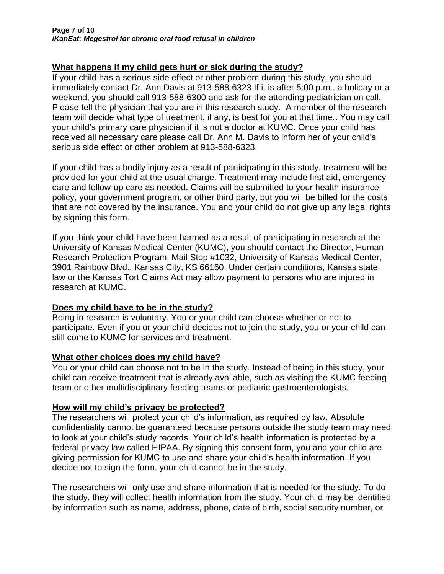# **What happens if my child gets hurt or sick during the study?**

If your child has a serious side effect or other problem during this study, you should immediately contact Dr. Ann Davis at 913-588-6323 If it is after 5:00 p.m., a holiday or a weekend, you should call 913-588-6300 and ask for the attending pediatrician on call. Please tell the physician that you are in this research study. A member of the research team will decide what type of treatment, if any, is best for you at that time.. You may call your child's primary care physician if it is not a doctor at KUMC. Once your child has received all necessary care please call Dr. Ann M. Davis to inform her of your child's serious side effect or other problem at 913-588-6323.

If your child has a bodily injury as a result of participating in this study, treatment will be provided for your child at the usual charge. Treatment may include first aid, emergency care and follow-up care as needed. Claims will be submitted to your health insurance policy, your government program, or other third party, but you will be billed for the costs that are not covered by the insurance. You and your child do not give up any legal rights by signing this form.

If you think your child have been harmed as a result of participating in research at the University of Kansas Medical Center (KUMC), you should contact the Director, Human Research Protection Program, Mail Stop #1032, University of Kansas Medical Center, 3901 Rainbow Blvd., Kansas City, KS 66160. Under certain conditions, Kansas state law or the Kansas Tort Claims Act may allow payment to persons who are injured in research at KUMC.

## **Does my child have to be in the study?**

Being in research is voluntary. You or your child can choose whether or not to participate. Even if you or your child decides not to join the study, you or your child can still come to KUMC for services and treatment.

## **What other choices does my child have?**

You or your child can choose not to be in the study. Instead of being in this study, your child can receive treatment that is already available, such as visiting the KUMC feeding team or other multidisciplinary feeding teams or pediatric gastroenterologists.

## **How will my child's privacy be protected?**

The researchers will protect your child's information, as required by law. Absolute confidentiality cannot be guaranteed because persons outside the study team may need to look at your child's study records. Your child's health information is protected by a federal privacy law called HIPAA. By signing this consent form, you and your child are giving permission for KUMC to use and share your child's health information. If you decide not to sign the form, your child cannot be in the study.

The researchers will only use and share information that is needed for the study. To do the study, they will collect health information from the study. Your child may be identified by information such as name, address, phone, date of birth, social security number, or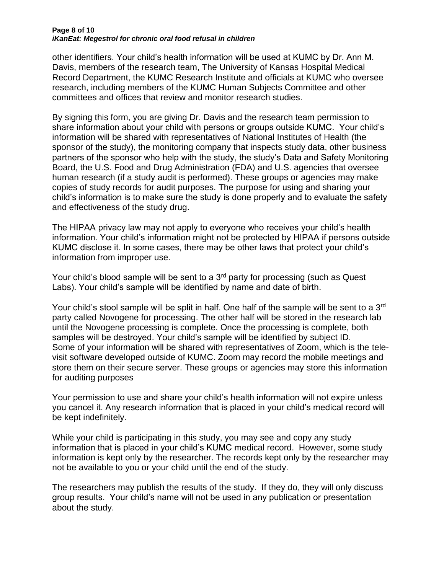#### **Page 8 of 10** *iKanEat: Megestrol for chronic oral food refusal in children*

other identifiers. Your child's health information will be used at KUMC by Dr. Ann M. Davis, members of the research team, The University of Kansas Hospital Medical Record Department, the KUMC Research Institute and officials at KUMC who oversee research, including members of the KUMC Human Subjects Committee and other committees and offices that review and monitor research studies.

By signing this form, you are giving Dr. Davis and the research team permission to share information about your child with persons or groups outside KUMC. Your child's information will be shared with representatives of National Institutes of Health (the sponsor of the study), the monitoring company that inspects study data, other business partners of the sponsor who help with the study, the study's Data and Safety Monitoring Board, the U.S. Food and Drug Administration (FDA) and U.S. agencies that oversee human research (if a study audit is performed). These groups or agencies may make copies of study records for audit purposes. The purpose for using and sharing your child's information is to make sure the study is done properly and to evaluate the safety and effectiveness of the study drug.

The HIPAA privacy law may not apply to everyone who receives your child's health information. Your child's information might not be protected by HIPAA if persons outside KUMC disclose it. In some cases, there may be other laws that protect your child's information from improper use.

Your child's blood sample will be sent to a  $3<sup>rd</sup>$  party for processing (such as Quest Labs). Your child's sample will be identified by name and date of birth.

Your child's stool sample will be split in half. One half of the sample will be sent to a 3<sup>rd</sup> party called Novogene for processing. The other half will be stored in the research lab until the Novogene processing is complete. Once the processing is complete, both samples will be destroyed. Your child's sample will be identified by subject ID. Some of your information will be shared with representatives of Zoom, which is the televisit software developed outside of KUMC. Zoom may record the mobile meetings and store them on their secure server. These groups or agencies may store this information for auditing purposes

Your permission to use and share your child's health information will not expire unless you cancel it. Any research information that is placed in your child's medical record will be kept indefinitely.

While your child is participating in this study, you may see and copy any study information that is placed in your child's KUMC medical record. However, some study information is kept only by the researcher. The records kept only by the researcher may not be available to you or your child until the end of the study.

The researchers may publish the results of the study. If they do, they will only discuss group results. Your child's name will not be used in any publication or presentation about the study.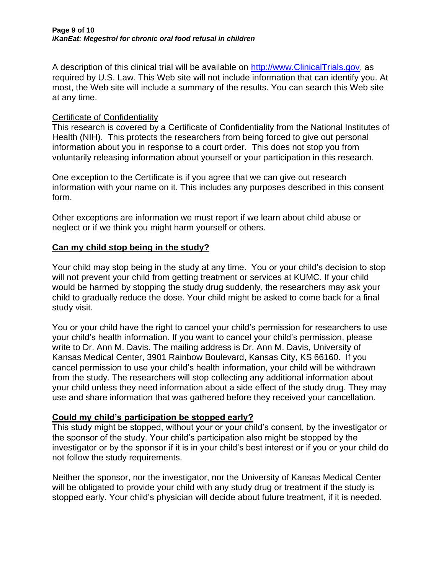A description of this clinical trial will be available on [http://www.ClinicalTrials.gov,](http://www.clinicaltrials.gov/) as required by U.S. Law. This Web site will not include information that can identify you. At most, the Web site will include a summary of the results. You can search this Web site at any time.

## Certificate of Confidentiality

This research is covered by a Certificate of Confidentiality from the National Institutes of Health (NIH). This protects the researchers from being forced to give out personal information about you in response to a court order. This does not stop you from voluntarily releasing information about yourself or your participation in this research.

One exception to the Certificate is if you agree that we can give out research information with your name on it. This includes any purposes described in this consent form.

Other exceptions are information we must report if we learn about child abuse or neglect or if we think you might harm yourself or others.

## **Can my child stop being in the study?**

Your child may stop being in the study at any time. You or your child's decision to stop will not prevent your child from getting treatment or services at KUMC. If your child would be harmed by stopping the study drug suddenly, the researchers may ask your child to gradually reduce the dose. Your child might be asked to come back for a final study visit.

You or your child have the right to cancel your child's permission for researchers to use your child's health information. If you want to cancel your child's permission, please write to Dr. Ann M. Davis. The mailing address is Dr. Ann M. Davis, University of Kansas Medical Center, 3901 Rainbow Boulevard, Kansas City, KS 66160. If you cancel permission to use your child's health information, your child will be withdrawn from the study. The researchers will stop collecting any additional information about your child unless they need information about a side effect of the study drug. They may use and share information that was gathered before they received your cancellation.

# **Could my child's participation be stopped early?**

This study might be stopped, without your or your child's consent, by the investigator or the sponsor of the study. Your child's participation also might be stopped by the investigator or by the sponsor if it is in your child's best interest or if you or your child do not follow the study requirements.

Neither the sponsor, nor the investigator, nor the University of Kansas Medical Center will be obligated to provide your child with any study drug or treatment if the study is stopped early. Your child's physician will decide about future treatment, if it is needed.